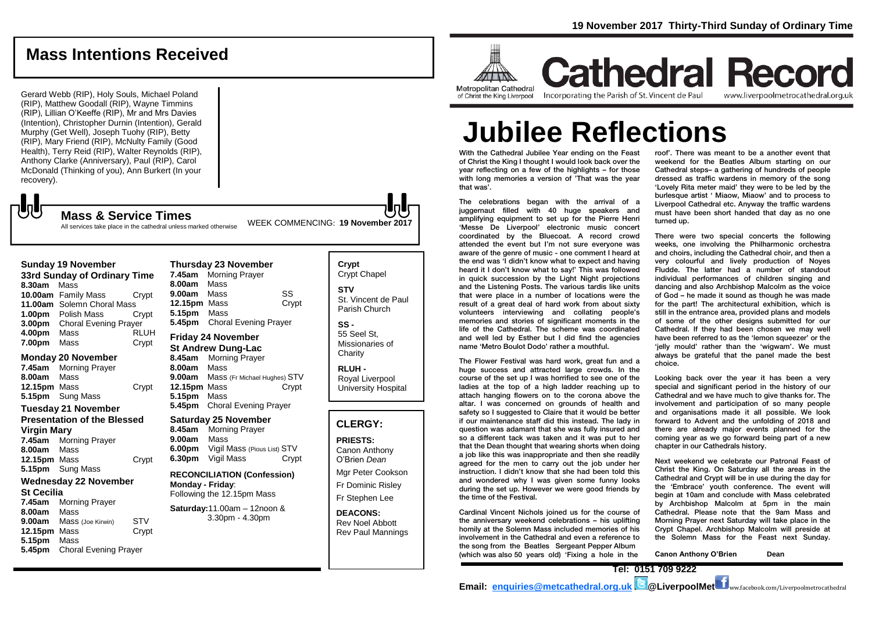# **Mass Intentions Received**

Gerard Webb (RIP), Holy Souls, Michael Poland (RIP), Matthew Goodall (RIP), Wayne Timmins (RIP), Lillian O'Keeffe (RIP), Mr and Mrs Davies (Intention), Christopher Durnin (Intention), Gerald Murphy (Get Well), Joseph Tuohy (RIP), Betty (RIP), Mary Friend (RIP), McNulty Family (Good Health), Terry Reid (RIP), Walter Reynolds (RIP), Anthony Clarke (Anniversary), Paul (RIP), Carol McDonald (Thinking of you), Ann Burkert (In your recovery).

# WEEK COMMENCING: **19 November 2017 Mass & Service Times**

All services take place in the cathedral unless marked otherwise

#### **Sunday 19 November**

**33rd Sunday of Ordinary Time 8.30am** Mass **10.00am** Family Mass Crypt **11.00am** Solemn Choral Mass **1.00pm** Polish Mass Crypt **3.00pm** Choral Evening Prayer **4.00pm** Mass RLUH **7.00pm** Mass Crypt

#### **Monday 20 November**

**7.45am** Morning Prayer **8.00am** Mass **12.15pm** Mass Crypt **5.15pm** Sung Mass

#### **Tuesday 21 November Presentation of the Blessed**

**Virgin Mary** 

**7.45am** Morning Prayer **8.00am** Mass **12.15pm** Mass Crypt **5.15pm** Sung Mass

#### **Wednesday 22 November St Cecilia**

**7.45am** Morning Prayer **8.00am** Mass **9.00am** Mass (Joe Kirwin) STV **12.15pm** Mass Crypt **5.15pm** Mass **5.45pm** Choral Evening Prayer

#### **Thursday 23 November 7.45am** Morning Prayer **8.00am** Mass

**9.00am** Mass SS **12.15pm** Mass Crypt **5.15pm** Mass **5.45pm** Choral Evening Prayer

#### **Friday 24 November St Andrew Dung-Lac**

**8.45am** Morning Prayer **8.00am** Mass **9.00am** Mass (Fr Michael Hughes) STV 12.15pm Mass Crypt **5.15pm** Mass **5.45pm** Choral Evening Prayer

#### **Saturday 25 November**

**8.45am** Morning Prayer **9.00am** Mass **6.00pm** Vigil Mass (Pious List) STV **6.30pm** Vigil Mass Crypt

**RECONCILIATION (Confession) Monday - Friday**: Following the 12.15pm Mass

**Saturday:**11.00am – 12noon & 3.30pm - 4.30pm

### **Crypt**  Crypt Chapel **STV** St. Vincent de Paul

Parish Church

**SS -** 55 Seel St, Missionaries of **Charity** 

**RLUH -** Royal Liverpool University Hospital

# **CLERGY:**

**PRIESTS:** Canon Anthony O'Brien *Dean*

Mgr Peter Cookson Fr Dominic Risley

Fr Stephen Lee

**DEACONS:** Rev Noel Abbott Rev Paul Mannings **Metropolitan Cathedral** of Christ the King Liverpool

**Report** 

**Cathedral Record** Incorporating the Parish of St. Vincent de Paul www.liverpoolmetrocathedral.org.uk

# **Jubilee Reflections**

With the Cathedral Jubilee Year ending on the Feast of Christ the King I thought I would look back over the year reflecting on a few of the highlights – for those with long memories a version of 'That was the year that was'.

The celebrations began with the arrival of a juggernaut filled with 40 huge speakers and amplifying equipment to set up for the Pierre Henri 'Messe De Liverpool' electronic music concert coordinated by the Bluecoat. A record crowd attended the event but I'm not sure everyone was aware of the genre of music - one comment I heard at the end was 'I didn't know what to expect and having heard it I don't know what to say!' This was followed in quick succession by the Light Night projections and the Listening Posts. The various tardis like units that were place in a number of locations were the result of a great deal of hard work from about sixty volunteers interviewing and collating people's memories and stories of significant moments in the life of the Cathedral. The scheme was coordinated and well led by Esther but I did find the agencies name 'Metro Boulot Dodo' rather a mouthful.

The Flower Festival was hard work, great fun and a huge success and attracted large crowds. In the course of the set up I was horrified to see one of the ladies at the top of a high ladder reaching up to attach hanging flowers on to the corona above the altar. I was concerned on grounds of health and safety so I suggested to Claire that it would be better if our maintenance staff did this instead. The lady in question was adamant that she was fully insured and so a different tack was taken and it was put to her that the Dean thought that wearing shorts when doing a job like this was inappropriate and then she readily agreed for the men to carry out the job under her instruction. I didn't know that she had been told this and wondered why I was given some funny looks during the set up. However we were good friends by the time of the Festival.

Cardinal Vincent Nichols joined us for the course of the anniversary weekend celebrations – his uplifting homily at the Solemn Mass included memories of his involvement in the Cathedral and even a reference to the song from the Beatles Sergeant Pepper Album (which was also 50 years old) 'Fixing a hole in the

roof'. There was meant to be a another event that weekend for the Beatles Album starting on our Cathedral steps– a gathering of hundreds of people dressed as traffic wardens in memory of the song 'Lovely Rita meter maid' they were to be led by the burlesque artist ' Miaow, Miaow' and to process to Liverpool Cathedral etc. Anyway the traffic wardens must have been short handed that day as no one turned up.

There were two special concerts the following weeks, one involving the Philharmonic orchestra and choirs, including the Cathedral choir, and then a very colourful and lively production of Noyes Fludde. The latter had a number of standout individual performances of children singing and dancing and also Archbishop Malcolm as the voice of God – he made it sound as though he was made for the part! The architectural exhibition, which is still in the entrance area, provided plans and models of some of the other designs submitted for our Cathedral. If they had been chosen we may well have been referred to as the 'lemon squeezer' or the 'jelly mould' rather than the 'wigwam'. We must always be grateful that the panel made the best choice.

Looking back over the year it has been a very special and significant period in the history of our Cathedral and we have much to give thanks for. The involvement and participation of so many people and organisations made it all possible. We look forward to Advent and the unfolding of 2018 and there are already major events planned for the coming year as we go forward being part of a new chapter in our Cathedrals history.

Next weekend we celebrate our Patronal Feast of Christ the King. On Saturday all the areas in the Cathedral and Crypt will be in use during the day for the 'Embrace' youth conference. The event will begin at 10am and conclude with Mass celebrated by Archbishop Malcolm at 5pm in the main Cathedral. Please note that the 9am Mass and Morning Prayer next Saturday will take place in the Crypt Chapel. Archbishop Malcolm will preside at the Solemn Mass for the Feast next Sunday.

**Canon Anthony O'Brien Dean**

**Email: [enquiries@metcathedral.org.uk](mailto:enquiries@metcathedral.org.uk) @LiverpoolMet**  $\mathbf{f}$  ww.facebook.com/Liverpoolmetrocathedral

**Tel: 0151 709 9222**